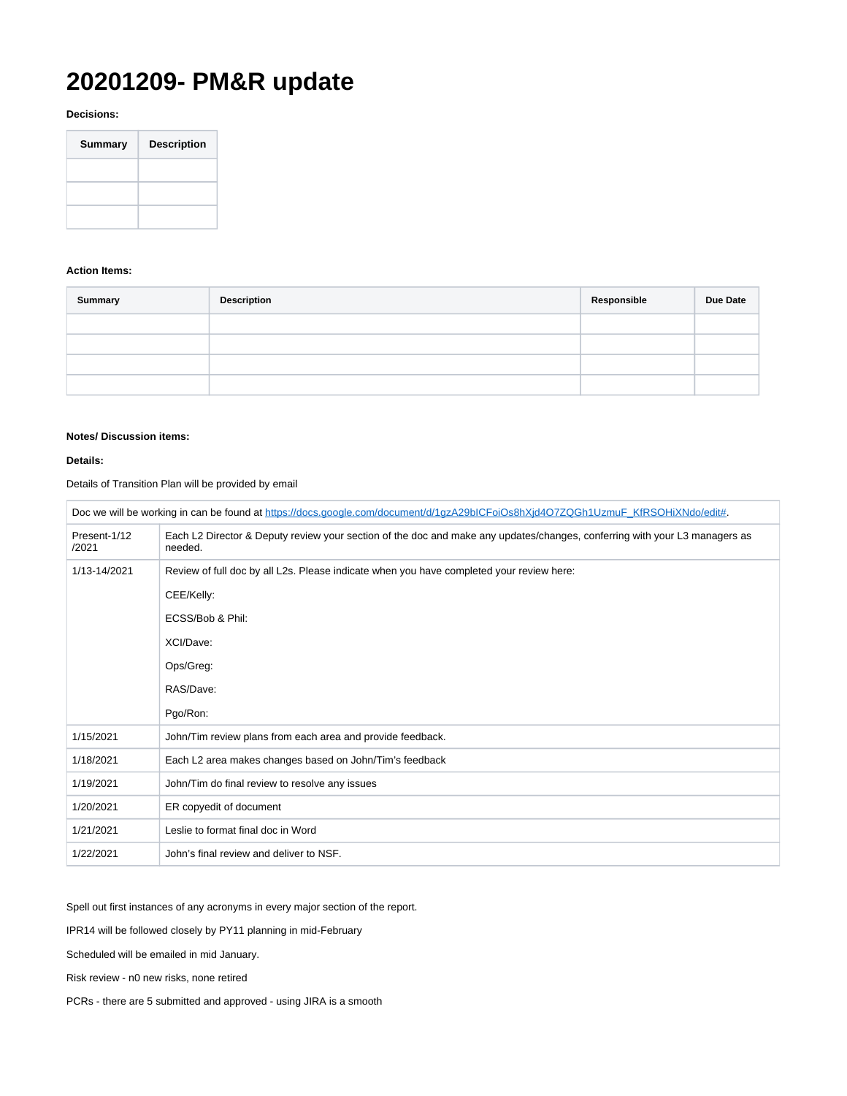## **20201209- PM&R update**

**Decisions:**

| <b>Summary</b> | <b>Description</b> |
|----------------|--------------------|
|                |                    |
|                |                    |
|                |                    |

## **Action Items:**

| <b>Summary</b> | <b>Description</b> | Responsible | Due Date |
|----------------|--------------------|-------------|----------|
|                |                    |             |          |
|                |                    |             |          |
|                |                    |             |          |
|                |                    |             |          |

## **Notes/ Discussion items:**

## **Details:**

Details of Transition Plan will be provided by email

| Doc we will be working in can be found at https://docs.google.com/document/d/1gzA29bICFoiOs8hXjd4O7ZQGh1UzmuF KfRSOHiXNdo/edit#. |                                                                                                                                       |  |
|----------------------------------------------------------------------------------------------------------------------------------|---------------------------------------------------------------------------------------------------------------------------------------|--|
| Present-1/12<br>/2021                                                                                                            | Each L2 Director & Deputy review your section of the doc and make any updates/changes, conferring with your L3 managers as<br>needed. |  |
| 1/13-14/2021                                                                                                                     | Review of full doc by all L2s. Please indicate when you have completed your review here:                                              |  |
|                                                                                                                                  | CEE/Kelly:                                                                                                                            |  |
|                                                                                                                                  | ECSS/Bob & Phil:                                                                                                                      |  |
|                                                                                                                                  | XCI/Dave:                                                                                                                             |  |
|                                                                                                                                  | Ops/Greg:                                                                                                                             |  |
|                                                                                                                                  | RAS/Dave:                                                                                                                             |  |
|                                                                                                                                  | Pgo/Ron:                                                                                                                              |  |
| 1/15/2021                                                                                                                        | John/Tim review plans from each area and provide feedback.                                                                            |  |
| 1/18/2021                                                                                                                        | Each L2 area makes changes based on John/Tim's feedback                                                                               |  |
| 1/19/2021                                                                                                                        | John/Tim do final review to resolve any issues                                                                                        |  |
| 1/20/2021                                                                                                                        | ER copyedit of document                                                                                                               |  |
| 1/21/2021                                                                                                                        | Leslie to format final doc in Word                                                                                                    |  |
| 1/22/2021                                                                                                                        | John's final review and deliver to NSF.                                                                                               |  |

Spell out first instances of any acronyms in every major section of the report.

IPR14 will be followed closely by PY11 planning in mid-February

Scheduled will be emailed in mid January.

Risk review - n0 new risks, none retired

PCRs - there are 5 submitted and approved - using JIRA is a smooth